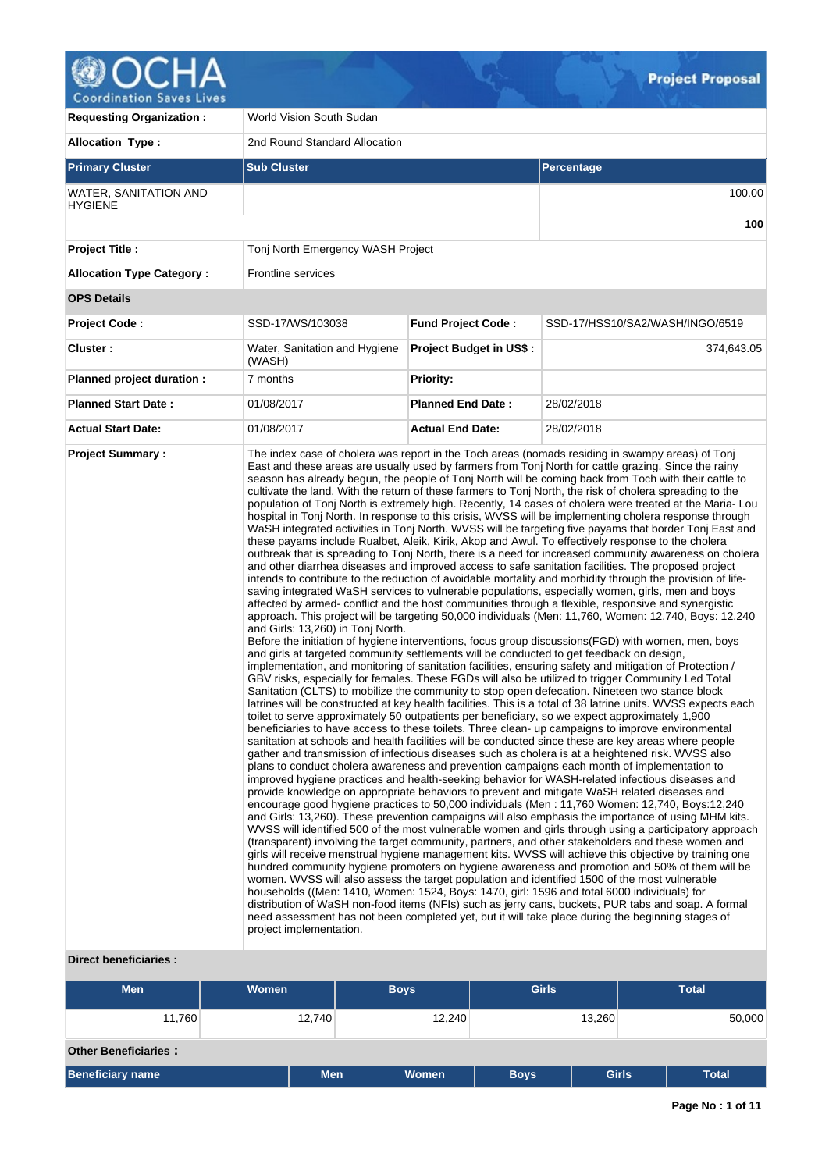

| <b>Requesting Organization:</b>                | World Vision South Sudan                                                                                                                                 |                                |                                                                                                                                                                                                                                                                                                                                                                                                                                                                                                                                                                                                                                                                                                                                                                                                                                                                                                                                                                                                                                                                                                                                                                                                                                                                                                                                                                                                                                                                                                                                                                                                                                                                                                                                                                                                                                                                                                                                                                                                                                                                                                                                                                                                                                                                                                                                                                                                                                                                                                                                                                                                                                                                                                                                                                                                                                                                                                                                                                                                                                                                                                                                                                                                                                                                                                                                                                                                                                                                                                                                                                                                                                                                                                                                                                                                                                        |  |  |  |  |  |
|------------------------------------------------|----------------------------------------------------------------------------------------------------------------------------------------------------------|--------------------------------|----------------------------------------------------------------------------------------------------------------------------------------------------------------------------------------------------------------------------------------------------------------------------------------------------------------------------------------------------------------------------------------------------------------------------------------------------------------------------------------------------------------------------------------------------------------------------------------------------------------------------------------------------------------------------------------------------------------------------------------------------------------------------------------------------------------------------------------------------------------------------------------------------------------------------------------------------------------------------------------------------------------------------------------------------------------------------------------------------------------------------------------------------------------------------------------------------------------------------------------------------------------------------------------------------------------------------------------------------------------------------------------------------------------------------------------------------------------------------------------------------------------------------------------------------------------------------------------------------------------------------------------------------------------------------------------------------------------------------------------------------------------------------------------------------------------------------------------------------------------------------------------------------------------------------------------------------------------------------------------------------------------------------------------------------------------------------------------------------------------------------------------------------------------------------------------------------------------------------------------------------------------------------------------------------------------------------------------------------------------------------------------------------------------------------------------------------------------------------------------------------------------------------------------------------------------------------------------------------------------------------------------------------------------------------------------------------------------------------------------------------------------------------------------------------------------------------------------------------------------------------------------------------------------------------------------------------------------------------------------------------------------------------------------------------------------------------------------------------------------------------------------------------------------------------------------------------------------------------------------------------------------------------------------------------------------------------------------------------------------------------------------------------------------------------------------------------------------------------------------------------------------------------------------------------------------------------------------------------------------------------------------------------------------------------------------------------------------------------------------------------------------------------------------------------------------------------------------|--|--|--|--|--|
| <b>Allocation Type:</b>                        | 2nd Round Standard Allocation                                                                                                                            |                                |                                                                                                                                                                                                                                                                                                                                                                                                                                                                                                                                                                                                                                                                                                                                                                                                                                                                                                                                                                                                                                                                                                                                                                                                                                                                                                                                                                                                                                                                                                                                                                                                                                                                                                                                                                                                                                                                                                                                                                                                                                                                                                                                                                                                                                                                                                                                                                                                                                                                                                                                                                                                                                                                                                                                                                                                                                                                                                                                                                                                                                                                                                                                                                                                                                                                                                                                                                                                                                                                                                                                                                                                                                                                                                                                                                                                                                        |  |  |  |  |  |
| <b>Primary Cluster</b>                         | <b>Sub Cluster</b>                                                                                                                                       |                                | Percentage                                                                                                                                                                                                                                                                                                                                                                                                                                                                                                                                                                                                                                                                                                                                                                                                                                                                                                                                                                                                                                                                                                                                                                                                                                                                                                                                                                                                                                                                                                                                                                                                                                                                                                                                                                                                                                                                                                                                                                                                                                                                                                                                                                                                                                                                                                                                                                                                                                                                                                                                                                                                                                                                                                                                                                                                                                                                                                                                                                                                                                                                                                                                                                                                                                                                                                                                                                                                                                                                                                                                                                                                                                                                                                                                                                                                                             |  |  |  |  |  |
| <b>WATER, SANITATION AND</b><br><b>HYGIENE</b> |                                                                                                                                                          |                                | 100.00                                                                                                                                                                                                                                                                                                                                                                                                                                                                                                                                                                                                                                                                                                                                                                                                                                                                                                                                                                                                                                                                                                                                                                                                                                                                                                                                                                                                                                                                                                                                                                                                                                                                                                                                                                                                                                                                                                                                                                                                                                                                                                                                                                                                                                                                                                                                                                                                                                                                                                                                                                                                                                                                                                                                                                                                                                                                                                                                                                                                                                                                                                                                                                                                                                                                                                                                                                                                                                                                                                                                                                                                                                                                                                                                                                                                                                 |  |  |  |  |  |
|                                                |                                                                                                                                                          |                                | 100                                                                                                                                                                                                                                                                                                                                                                                                                                                                                                                                                                                                                                                                                                                                                                                                                                                                                                                                                                                                                                                                                                                                                                                                                                                                                                                                                                                                                                                                                                                                                                                                                                                                                                                                                                                                                                                                                                                                                                                                                                                                                                                                                                                                                                                                                                                                                                                                                                                                                                                                                                                                                                                                                                                                                                                                                                                                                                                                                                                                                                                                                                                                                                                                                                                                                                                                                                                                                                                                                                                                                                                                                                                                                                                                                                                                                                    |  |  |  |  |  |
| <b>Project Title:</b>                          | Tonj North Emergency WASH Project                                                                                                                        |                                |                                                                                                                                                                                                                                                                                                                                                                                                                                                                                                                                                                                                                                                                                                                                                                                                                                                                                                                                                                                                                                                                                                                                                                                                                                                                                                                                                                                                                                                                                                                                                                                                                                                                                                                                                                                                                                                                                                                                                                                                                                                                                                                                                                                                                                                                                                                                                                                                                                                                                                                                                                                                                                                                                                                                                                                                                                                                                                                                                                                                                                                                                                                                                                                                                                                                                                                                                                                                                                                                                                                                                                                                                                                                                                                                                                                                                                        |  |  |  |  |  |
| <b>Allocation Type Category:</b>               | Frontline services                                                                                                                                       |                                |                                                                                                                                                                                                                                                                                                                                                                                                                                                                                                                                                                                                                                                                                                                                                                                                                                                                                                                                                                                                                                                                                                                                                                                                                                                                                                                                                                                                                                                                                                                                                                                                                                                                                                                                                                                                                                                                                                                                                                                                                                                                                                                                                                                                                                                                                                                                                                                                                                                                                                                                                                                                                                                                                                                                                                                                                                                                                                                                                                                                                                                                                                                                                                                                                                                                                                                                                                                                                                                                                                                                                                                                                                                                                                                                                                                                                                        |  |  |  |  |  |
| <b>OPS Details</b>                             |                                                                                                                                                          |                                |                                                                                                                                                                                                                                                                                                                                                                                                                                                                                                                                                                                                                                                                                                                                                                                                                                                                                                                                                                                                                                                                                                                                                                                                                                                                                                                                                                                                                                                                                                                                                                                                                                                                                                                                                                                                                                                                                                                                                                                                                                                                                                                                                                                                                                                                                                                                                                                                                                                                                                                                                                                                                                                                                                                                                                                                                                                                                                                                                                                                                                                                                                                                                                                                                                                                                                                                                                                                                                                                                                                                                                                                                                                                                                                                                                                                                                        |  |  |  |  |  |
| <b>Project Code:</b>                           | SSD-17/WS/103038                                                                                                                                         | <b>Fund Project Code:</b>      | SSD-17/HSS10/SA2/WASH/INGO/6519                                                                                                                                                                                                                                                                                                                                                                                                                                                                                                                                                                                                                                                                                                                                                                                                                                                                                                                                                                                                                                                                                                                                                                                                                                                                                                                                                                                                                                                                                                                                                                                                                                                                                                                                                                                                                                                                                                                                                                                                                                                                                                                                                                                                                                                                                                                                                                                                                                                                                                                                                                                                                                                                                                                                                                                                                                                                                                                                                                                                                                                                                                                                                                                                                                                                                                                                                                                                                                                                                                                                                                                                                                                                                                                                                                                                        |  |  |  |  |  |
| Cluster:                                       | Water, Sanitation and Hygiene<br>(WASH)                                                                                                                  | <b>Project Budget in US\$:</b> | 374,643.05                                                                                                                                                                                                                                                                                                                                                                                                                                                                                                                                                                                                                                                                                                                                                                                                                                                                                                                                                                                                                                                                                                                                                                                                                                                                                                                                                                                                                                                                                                                                                                                                                                                                                                                                                                                                                                                                                                                                                                                                                                                                                                                                                                                                                                                                                                                                                                                                                                                                                                                                                                                                                                                                                                                                                                                                                                                                                                                                                                                                                                                                                                                                                                                                                                                                                                                                                                                                                                                                                                                                                                                                                                                                                                                                                                                                                             |  |  |  |  |  |
| Planned project duration :                     | 7 months                                                                                                                                                 | <b>Priority:</b>               |                                                                                                                                                                                                                                                                                                                                                                                                                                                                                                                                                                                                                                                                                                                                                                                                                                                                                                                                                                                                                                                                                                                                                                                                                                                                                                                                                                                                                                                                                                                                                                                                                                                                                                                                                                                                                                                                                                                                                                                                                                                                                                                                                                                                                                                                                                                                                                                                                                                                                                                                                                                                                                                                                                                                                                                                                                                                                                                                                                                                                                                                                                                                                                                                                                                                                                                                                                                                                                                                                                                                                                                                                                                                                                                                                                                                                                        |  |  |  |  |  |
| <b>Planned Start Date:</b>                     | 01/08/2017                                                                                                                                               | <b>Planned End Date:</b>       | 28/02/2018                                                                                                                                                                                                                                                                                                                                                                                                                                                                                                                                                                                                                                                                                                                                                                                                                                                                                                                                                                                                                                                                                                                                                                                                                                                                                                                                                                                                                                                                                                                                                                                                                                                                                                                                                                                                                                                                                                                                                                                                                                                                                                                                                                                                                                                                                                                                                                                                                                                                                                                                                                                                                                                                                                                                                                                                                                                                                                                                                                                                                                                                                                                                                                                                                                                                                                                                                                                                                                                                                                                                                                                                                                                                                                                                                                                                                             |  |  |  |  |  |
| <b>Actual Start Date:</b>                      | 01/08/2017                                                                                                                                               | <b>Actual End Date:</b>        | 28/02/2018                                                                                                                                                                                                                                                                                                                                                                                                                                                                                                                                                                                                                                                                                                                                                                                                                                                                                                                                                                                                                                                                                                                                                                                                                                                                                                                                                                                                                                                                                                                                                                                                                                                                                                                                                                                                                                                                                                                                                                                                                                                                                                                                                                                                                                                                                                                                                                                                                                                                                                                                                                                                                                                                                                                                                                                                                                                                                                                                                                                                                                                                                                                                                                                                                                                                                                                                                                                                                                                                                                                                                                                                                                                                                                                                                                                                                             |  |  |  |  |  |
| <b>Project Summary:</b>                        | and Girls: 13,260) in Tonj North.<br>and girls at targeted community settlements will be conducted to get feedback on design,<br>project implementation. |                                | The index case of cholera was report in the Toch areas (nomads residing in swampy areas) of Tonj<br>East and these areas are usually used by farmers from Tonj North for cattle grazing. Since the rainy<br>season has already begun, the people of Tonj North will be coming back from Toch with their cattle to<br>cultivate the land. With the return of these farmers to Tonj North, the risk of cholera spreading to the<br>population of Tonj North is extremely high. Recently, 14 cases of cholera were treated at the Maria-Lou<br>hospital in Tonj North. In response to this crisis, WVSS will be implementing cholera response through<br>WaSH integrated activities in Tonj North. WVSS will be targeting five payams that border Tonj East and<br>these payams include Rualbet, Aleik, Kirik, Akop and Awul. To effectively response to the cholera<br>outbreak that is spreading to Tonj North, there is a need for increased community awareness on cholera<br>and other diarrhea diseases and improved access to safe sanitation facilities. The proposed project<br>intends to contribute to the reduction of avoidable mortality and morbidity through the provision of life-<br>saving integrated WaSH services to vulnerable populations, especially women, girls, men and boys<br>affected by armed- conflict and the host communities through a flexible, responsive and synergistic<br>approach. This project will be targeting 50,000 individuals (Men: 11,760, Women: 12,740, Boys: 12,240<br>Before the initiation of hygiene interventions, focus group discussions (FGD) with women, men, boys<br>implementation, and monitoring of sanitation facilities, ensuring safety and mitigation of Protection /<br>GBV risks, especially for females. These FGDs will also be utilized to trigger Community Led Total<br>Sanitation (CLTS) to mobilize the community to stop open defecation. Nineteen two stance block<br>latrines will be constructed at key health facilities. This is a total of 38 latrine units. WVSS expects each<br>toilet to serve approximately 50 outpatients per beneficiary, so we expect approximately 1,900<br>beneficiaries to have access to these toilets. Three clean- up campaigns to improve environmental<br>sanitation at schools and health facilities will be conducted since these are key areas where people<br>gather and transmission of infectious diseases such as cholera is at a heightened risk. WVSS also<br>plans to conduct cholera awareness and prevention campaigns each month of implementation to<br>improved hygiene practices and health-seeking behavior for WASH-related infectious diseases and<br>provide knowledge on appropriate behaviors to prevent and mitigate WaSH related diseases and<br>encourage good hygiene practices to 50,000 individuals (Men: 11,760 Women: 12,740, Boys:12,240<br>and Girls: 13,260). These prevention campaigns will also emphasis the importance of using MHM kits.<br>WVSS will identified 500 of the most vulnerable women and girls through using a participatory approach<br>(transparent) involving the target community, partners, and other stakeholders and these women and<br>girls will receive menstrual hygiene management kits. WVSS will achieve this objective by training one<br>hundred community hygiene promoters on hygiene awareness and promotion and 50% of them will be<br>women. WVSS will also assess the target population and identified 1500 of the most vulnerable<br>households ((Men: 1410, Women: 1524, Boys: 1470, girl: 1596 and total 6000 individuals) for<br>distribution of WaSH non-food items (NFIs) such as jerry cans, buckets, PUR tabs and soap. A formal<br>need assessment has not been completed yet, but it will take place during the beginning stages of |  |  |  |  |  |

# **Direct beneficiaries :**

| <b>Men</b>                  | <b>Women</b> | <b>Boys</b>                | <b>Girls</b> |                  | <b>Total</b> |  |  |  |  |
|-----------------------------|--------------|----------------------------|--------------|------------------|--------------|--|--|--|--|
| 11,760                      | 12,740       | 12,240                     |              | 13,260<br>50,000 |              |  |  |  |  |
| <b>Other Beneficiaries:</b> |              |                            |              |                  |              |  |  |  |  |
| <b>Beneficiary name</b>     |              | <b>Men</b><br><b>Women</b> | <b>Boys</b>  | <b>Girls</b>     | <b>Total</b> |  |  |  |  |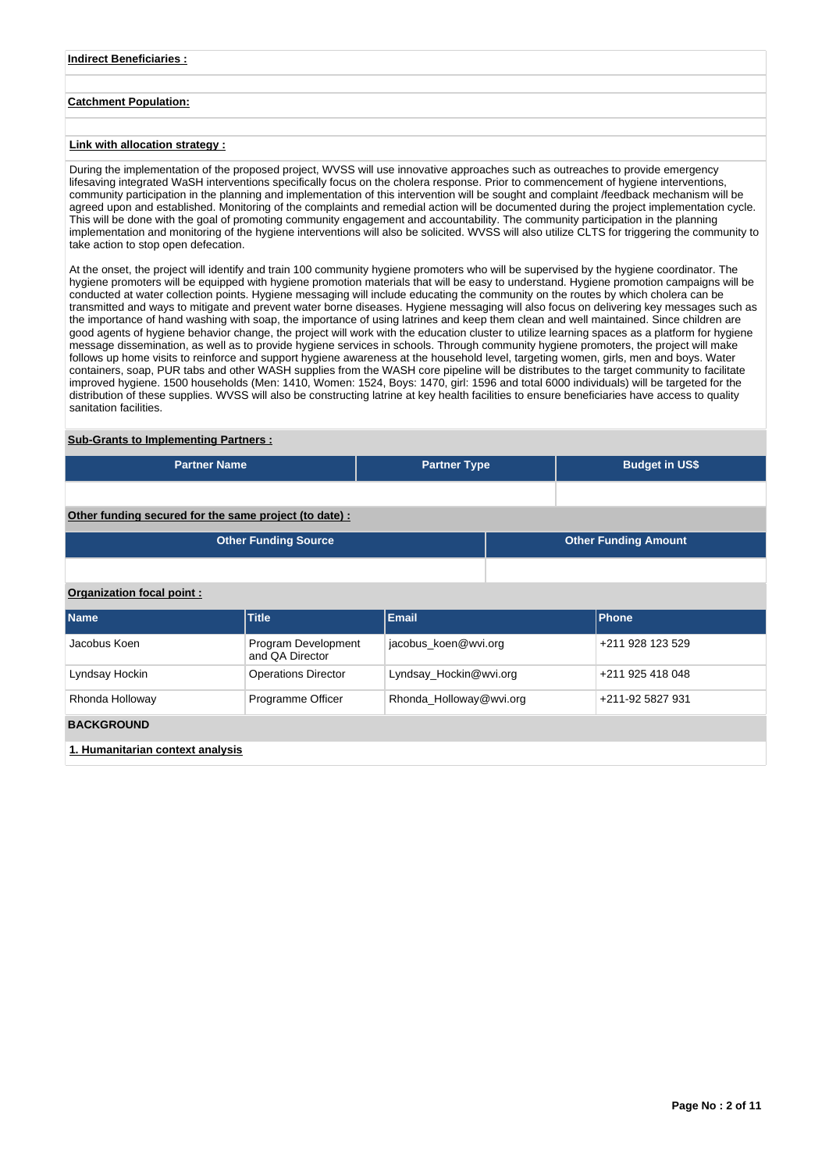### **Indirect Beneficiaries :**

## **Catchment Population:**

## **Link with allocation strategy :**

During the implementation of the proposed project, WVSS will use innovative approaches such as outreaches to provide emergency lifesaving integrated WaSH interventions specifically focus on the cholera response. Prior to commencement of hygiene interventions, community participation in the planning and implementation of this intervention will be sought and complaint /feedback mechanism will be agreed upon and established. Monitoring of the complaints and remedial action will be documented during the project implementation cycle. This will be done with the goal of promoting community engagement and accountability. The community participation in the planning implementation and monitoring of the hygiene interventions will also be solicited. WVSS will also utilize CLTS for triggering the community to take action to stop open defecation.

At the onset, the project will identify and train 100 community hygiene promoters who will be supervised by the hygiene coordinator. The hygiene promoters will be equipped with hygiene promotion materials that will be easy to understand. Hygiene promotion campaigns will be conducted at water collection points. Hygiene messaging will include educating the community on the routes by which cholera can be transmitted and ways to mitigate and prevent water borne diseases. Hygiene messaging will also focus on delivering key messages such as the importance of hand washing with soap, the importance of using latrines and keep them clean and well maintained. Since children are good agents of hygiene behavior change, the project will work with the education cluster to utilize learning spaces as a platform for hygiene message dissemination, as well as to provide hygiene services in schools. Through community hygiene promoters, the project will make follows up home visits to reinforce and support hygiene awareness at the household level, targeting women, girls, men and boys. Water containers, soap, PUR tabs and other WASH supplies from the WASH core pipeline will be distributes to the target community to facilitate improved hygiene. 1500 households (Men: 1410, Women: 1524, Boys: 1470, girl: 1596 and total 6000 individuals) will be targeted for the distribution of these supplies. WVSS will also be constructing latrine at key health facilities to ensure beneficiaries have access to quality sanitation facilities.

### **Sub-Grants to Implementing Partners :**

| l Partner Name <b>I</b> | <b>Partner Type</b> | <b>Budget in US\$</b> |
|-------------------------|---------------------|-----------------------|
|                         |                     |                       |

## **Other funding secured for the same project (to date) :**

|                                  | <b>Other Funding Source</b>            | <b>Other Funding Amount</b> |                  |                  |  |
|----------------------------------|----------------------------------------|-----------------------------|------------------|------------------|--|
|                                  |                                        |                             |                  |                  |  |
| Organization focal point:        |                                        |                             |                  |                  |  |
| <b>Name</b>                      | <b>Title</b>                           | Email                       |                  | Phone            |  |
| Jacobus Koen                     | Program Development<br>and OA Director | jacobus koen@wvi.org        |                  | +211 928 123 529 |  |
| Lyndsay Hockin                   | <b>Operations Director</b>             | Lyndsay Hockin@wvi.org      |                  | +211 925 418 048 |  |
| Rhonda Holloway                  | Programme Officer                      | Rhonda_Holloway@wvi.org     | +211-92 5827 931 |                  |  |
| <b>BACKGROUND</b>                |                                        |                             |                  |                  |  |
| 1. Humanitarian context analysis |                                        |                             |                  |                  |  |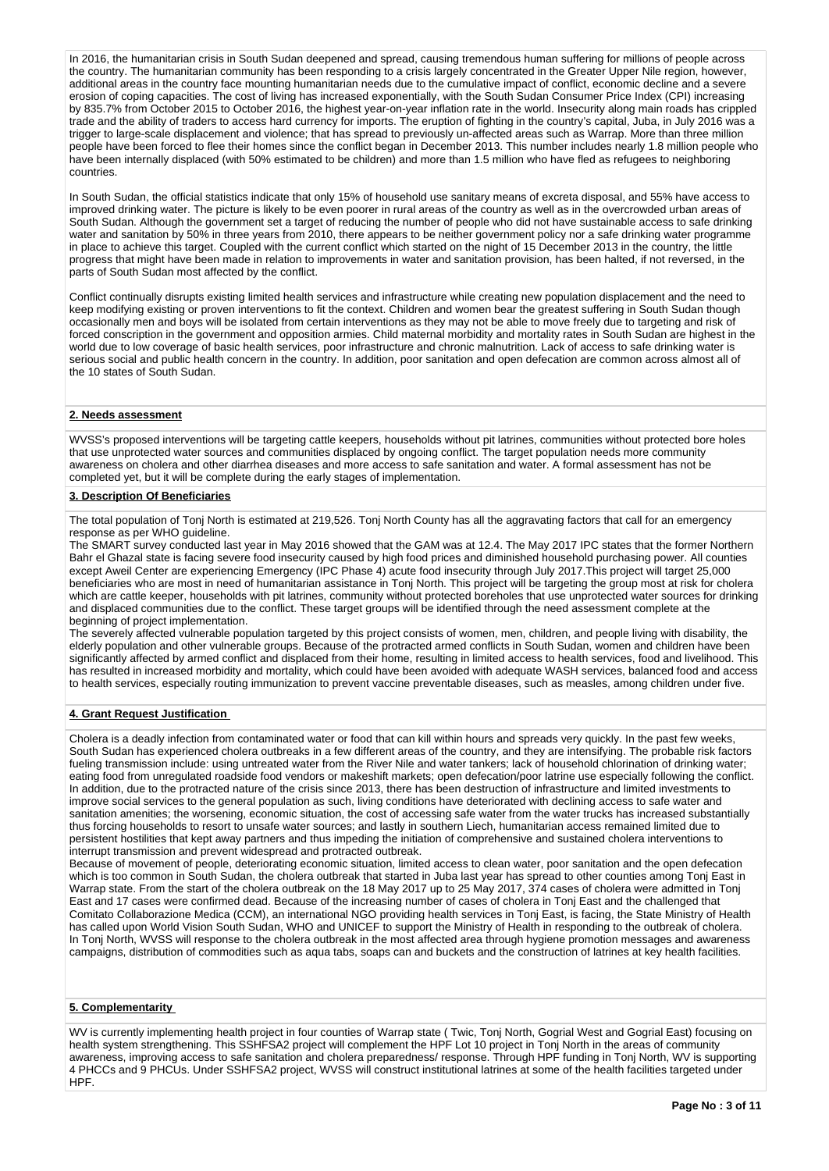In 2016, the humanitarian crisis in South Sudan deepened and spread, causing tremendous human suffering for millions of people across the country. The humanitarian community has been responding to a crisis largely concentrated in the Greater Upper Nile region, however, additional areas in the country face mounting humanitarian needs due to the cumulative impact of conflict, economic decline and a severe erosion of coping capacities. The cost of living has increased exponentially, with the South Sudan Consumer Price Index (CPI) increasing by 835.7% from October 2015 to October 2016, the highest year-on-year inflation rate in the world. Insecurity along main roads has crippled trade and the ability of traders to access hard currency for imports. The eruption of fighting in the country's capital, Juba, in July 2016 was a trigger to large-scale displacement and violence; that has spread to previously un-affected areas such as Warrap. More than three million people have been forced to flee their homes since the conflict began in December 2013. This number includes nearly 1.8 million people who have been internally displaced (with 50% estimated to be children) and more than 1.5 million who have fled as refugees to neighboring countries.

In South Sudan, the official statistics indicate that only 15% of household use sanitary means of excreta disposal, and 55% have access to improved drinking water. The picture is likely to be even poorer in rural areas of the country as well as in the overcrowded urban areas of South Sudan. Although the government set a target of reducing the number of people who did not have sustainable access to safe drinking water and sanitation by 50% in three years from 2010, there appears to be neither government policy nor a safe drinking water programme in place to achieve this target. Coupled with the current conflict which started on the night of 15 December 2013 in the country, the little progress that might have been made in relation to improvements in water and sanitation provision, has been halted, if not reversed, in the parts of South Sudan most affected by the conflict.

Conflict continually disrupts existing limited health services and infrastructure while creating new population displacement and the need to keep modifying existing or proven interventions to fit the context. Children and women bear the greatest suffering in South Sudan though occasionally men and boys will be isolated from certain interventions as they may not be able to move freely due to targeting and risk of forced conscription in the government and opposition armies. Child maternal morbidity and mortality rates in South Sudan are highest in the world due to low coverage of basic health services, poor infrastructure and chronic malnutrition. Lack of access to safe drinking water is serious social and public health concern in the country. In addition, poor sanitation and open defecation are common across almost all of the 10 states of South Sudan.

### **2. Needs assessment**

WVSS's proposed interventions will be targeting cattle keepers, households without pit latrines, communities without protected bore holes that use unprotected water sources and communities displaced by ongoing conflict. The target population needs more community awareness on cholera and other diarrhea diseases and more access to safe sanitation and water. A formal assessment has not be completed yet, but it will be complete during the early stages of implementation.

#### **3. Description Of Beneficiaries**

The total population of Tonj North is estimated at 219,526. Tonj North County has all the aggravating factors that call for an emergency response as per WHO guideline.

The SMART survey conducted last year in May 2016 showed that the GAM was at 12.4. The May 2017 IPC states that the former Northern Bahr el Ghazal state is facing severe food insecurity caused by high food prices and diminished household purchasing power. All counties except Aweil Center are experiencing Emergency (IPC Phase 4) acute food insecurity through July 2017.This project will target 25,000 beneficiaries who are most in need of humanitarian assistance in Tonj North. This project will be targeting the group most at risk for cholera which are cattle keeper, households with pit latrines, community without protected boreholes that use unprotected water sources for drinking and displaced communities due to the conflict. These target groups will be identified through the need assessment complete at the beginning of project implementation.

The severely affected vulnerable population targeted by this project consists of women, men, children, and people living with disability, the elderly population and other vulnerable groups. Because of the protracted armed conflicts in South Sudan, women and children have been significantly affected by armed conflict and displaced from their home, resulting in limited access to health services, food and livelihood. This has resulted in increased morbidity and mortality, which could have been avoided with adequate WASH services, balanced food and access to health services, especially routing immunization to prevent vaccine preventable diseases, such as measles, among children under five.

### **4. Grant Request Justification**

Cholera is a deadly infection from contaminated water or food that can kill within hours and spreads very quickly. In the past few weeks, South Sudan has experienced cholera outbreaks in a few different areas of the country, and they are intensifying. The probable risk factors fueling transmission include: using untreated water from the River Nile and water tankers; lack of household chlorination of drinking water; eating food from unregulated roadside food vendors or makeshift markets; open defecation/poor latrine use especially following the conflict. In addition, due to the protracted nature of the crisis since 2013, there has been destruction of infrastructure and limited investments to improve social services to the general population as such, living conditions have deteriorated with declining access to safe water and sanitation amenities; the worsening, economic situation, the cost of accessing safe water from the water trucks has increased substantially thus forcing households to resort to unsafe water sources; and lastly in southern Liech, humanitarian access remained limited due to persistent hostilities that kept away partners and thus impeding the initiation of comprehensive and sustained cholera interventions to interrupt transmission and prevent widespread and protracted outbreak.

Because of movement of people, deteriorating economic situation, limited access to clean water, poor sanitation and the open defecation which is too common in South Sudan, the cholera outbreak that started in Juba last year has spread to other counties among Tonj East in Warrap state. From the start of the cholera outbreak on the 18 May 2017 up to 25 May 2017, 374 cases of cholera were admitted in Tonj East and 17 cases were confirmed dead. Because of the increasing number of cases of cholera in Tonj East and the challenged that Comitato Collaborazione Medica (CCM), an international NGO providing health services in Tonj East, is facing, the State Ministry of Health has called upon World Vision South Sudan, WHO and UNICEF to support the Ministry of Health in responding to the outbreak of cholera. In Tonj North, WVSS will response to the cholera outbreak in the most affected area through hygiene promotion messages and awareness campaigns, distribution of commodities such as aqua tabs, soaps can and buckets and the construction of latrines at key health facilities.

### **5. Complementarity**

WV is currently implementing health project in four counties of Warrap state ( Twic, Tonj North, Gogrial West and Gogrial East) focusing on health system strengthening. This SSHFSA2 project will complement the HPF Lot 10 project in Tonj North in the areas of community awareness, improving access to safe sanitation and cholera preparedness/ response. Through HPF funding in Tonj North, WV is supporting 4 PHCCs and 9 PHCUs. Under SSHFSA2 project, WVSS will construct institutional latrines at some of the health facilities targeted under HPF.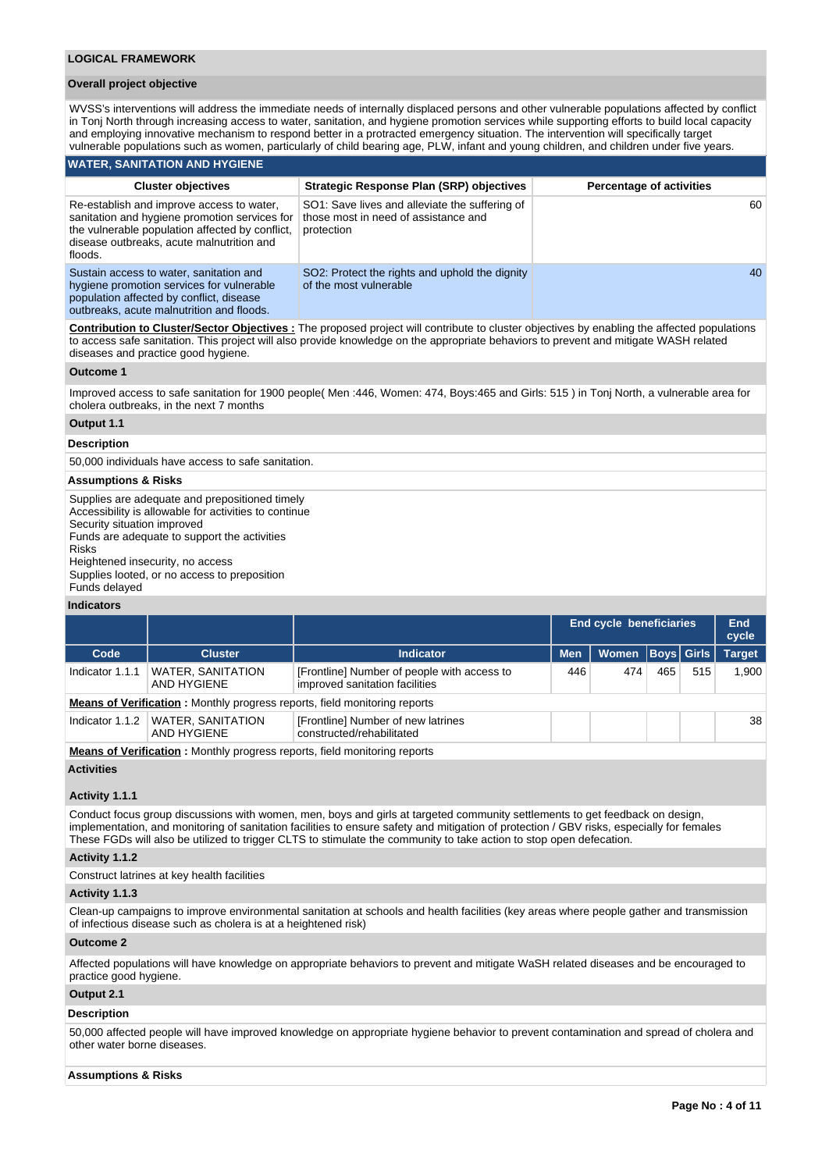#### **Overall project objective**

WVSS's interventions will address the immediate needs of internally displaced persons and other vulnerable populations affected by conflict in Tonj North through increasing access to water, sanitation, and hygiene promotion services while supporting efforts to build local capacity and employing innovative mechanism to respond better in a protracted emergency situation. The intervention will specifically target vulnerable populations such as women, particularly of child bearing age, PLW, infant and young children, and children under five years.

#### **WATER, SANITATION AND HYGIENE**

outbreaks, acute malnutrition and floods.

| <b>Cluster objectives</b>                                                                                                                                                                             | <b>Strategic Response Plan (SRP) objectives</b>                                                      | <b>Percentage of activities</b> |
|-------------------------------------------------------------------------------------------------------------------------------------------------------------------------------------------------------|------------------------------------------------------------------------------------------------------|---------------------------------|
| Re-establish and improve access to water.<br>sanitation and hygiene promotion services for<br>the vulnerable population affected by conflict.<br>disease outbreaks, acute malnutrition and<br>floods. | SO1: Save lives and alleviate the suffering of<br>those most in need of assistance and<br>protection | 60                              |
| Sustain access to water, sanitation and<br>hygiene promotion services for vulnerable<br>population affected by conflict, disease                                                                      | SO2: Protect the rights and uphold the dignity<br>of the most vulnerable                             | 40                              |

**Contribution to Cluster/Sector Objectives :** The proposed project will contribute to cluster objectives by enabling the affected populations to access safe sanitation. This project will also provide knowledge on the appropriate behaviors to prevent and mitigate WASH related diseases and practice good hygiene.

#### **Outcome 1**

Improved access to safe sanitation for 1900 people( Men :446, Women: 474, Boys:465 and Girls: 515 ) in Tonj North, a vulnerable area for cholera outbreaks, in the next 7 months

### **Output 1.1**

#### **Description**

50,000 individuals have access to safe sanitation.

### **Assumptions & Risks**

Supplies are adequate and prepositioned timely Accessibility is allowable for activities to continue Security situation improved Funds are adequate to support the activities Risks Heightened insecurity, no access Supplies looted, or no access to preposition Funds delayed

### **Indicators**

|                 |                                                                                                                |                                                                               |            | <b>End cycle beneficiaries</b> |     |     | End<br>cycle  |
|-----------------|----------------------------------------------------------------------------------------------------------------|-------------------------------------------------------------------------------|------------|--------------------------------|-----|-----|---------------|
| Code            | <b>Cluster</b>                                                                                                 | Indicator                                                                     | <b>Men</b> | Women   Boys   Girls           |     |     | <b>Target</b> |
| Indicator 1.1.1 | <b>WATER, SANITATION</b><br>AND HYGIENE                                                                        | [Frontline] Number of people with access to<br>improved sanitation facilities | 446        | 474                            | 465 | 515 | 1.900         |
|                 | <b>Means of Verification:</b> Monthly progress reports, field monitoring reports                               |                                                                               |            |                                |     |     |               |
| Indicator 1.1.2 | <b>WATER, SANITATION</b><br>AND HYGIENE                                                                        | [Frontline] Number of new latrines<br>constructed/rehabilitated               |            |                                |     |     | 38            |
|                 | . March 21 - 20 Martin 2014 and March 1. Construction and Construction of the Construction of the Construction |                                                                               |            |                                |     |     |               |

**Means of Verification :** Monthly progress reports, field monitoring reports

## **Activities**

### **Activity 1.1.1**

Conduct focus group discussions with women, men, boys and girls at targeted community settlements to get feedback on design, implementation, and monitoring of sanitation facilities to ensure safety and mitigation of protection / GBV risks, especially for females These FGDs will also be utilized to trigger CLTS to stimulate the community to take action to stop open defecation.

## **Activity 1.1.2**

Construct latrines at key health facilities

### **Activity 1.1.3**

Clean-up campaigns to improve environmental sanitation at schools and health facilities (key areas where people gather and transmission of infectious disease such as cholera is at a heightened risk)

### **Outcome 2**

Affected populations will have knowledge on appropriate behaviors to prevent and mitigate WaSH related diseases and be encouraged to practice good hygiene.

### **Output 2.1**

#### **Description**

50,000 affected people will have improved knowledge on appropriate hygiene behavior to prevent contamination and spread of cholera and other water borne diseases.

#### **Assumptions & Risks**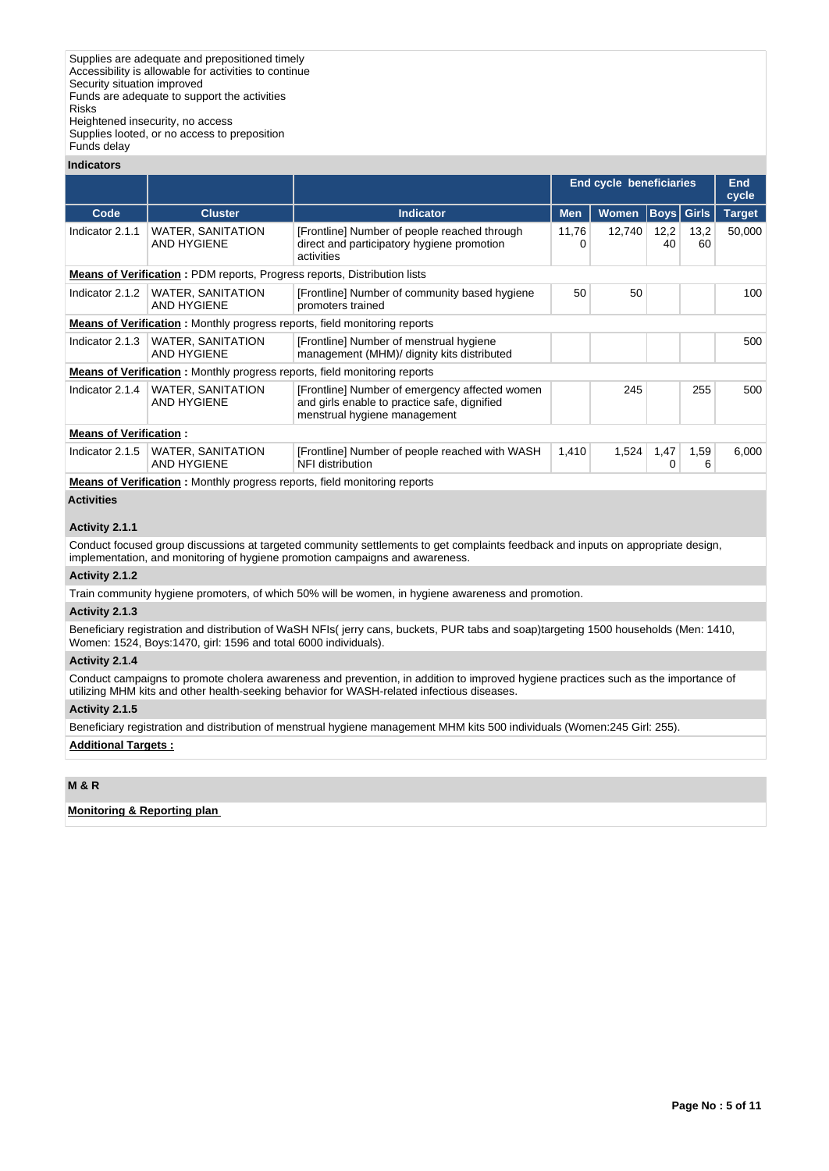Supplies looted, or no access to preposition Funds delay

#### **Indicators**

| iliuludioi S                  |                                                                                  |                                                                                                                                |                                                    |        |            |            |                     |
|-------------------------------|----------------------------------------------------------------------------------|--------------------------------------------------------------------------------------------------------------------------------|----------------------------------------------------|--------|------------|------------|---------------------|
|                               |                                                                                  |                                                                                                                                | End cycle beneficiaries                            |        |            |            | <b>End</b><br>cycle |
| Code                          | <b>Cluster</b>                                                                   | <b>Indicator</b>                                                                                                               | <b>Women</b><br>Girls<br><b>Men</b><br><b>Boys</b> |        |            |            | <b>Target</b>       |
| Indicator 2.1.1               | <b>WATER, SANITATION</b><br><b>AND HYGIENE</b>                                   | [Frontline] Number of people reached through<br>direct and participatory hygiene promotion<br>activities                       | 11,76                                              | 12,740 | 12,2<br>40 | 13,2<br>60 | 50,000              |
|                               | <b>Means of Verification:</b> PDM reports, Progress reports, Distribution lists  |                                                                                                                                |                                                    |        |            |            |                     |
| Indicator 2.1.2               | <b>WATER, SANITATION</b><br>AND HYGIENE                                          | [Frontline] Number of community based hygiene<br>promoters trained                                                             | 50                                                 | 50     |            |            | 100                 |
|                               | <b>Means of Verification:</b> Monthly progress reports, field monitoring reports |                                                                                                                                |                                                    |        |            |            |                     |
| Indicator 2.1.3               | <b>WATER, SANITATION</b><br><b>AND HYGIENE</b>                                   | [Frontline] Number of menstrual hygiene<br>management (MHM)/ dignity kits distributed                                          |                                                    |        |            |            | 500                 |
|                               | <b>Means of Verification:</b> Monthly progress reports, field monitoring reports |                                                                                                                                |                                                    |        |            |            |                     |
| Indicator 2.1.4               | <b>WATER, SANITATION</b><br><b>AND HYGIENE</b>                                   | [Frontline] Number of emergency affected women<br>and girls enable to practice safe, dignified<br>menstrual hygiene management |                                                    | 245    |            | 255        | 500                 |
| <b>Means of Verification:</b> |                                                                                  |                                                                                                                                |                                                    |        |            |            |                     |
| Indicator 2.1.5               | <b>WATER, SANITATION</b><br><b>AND HYGIENE</b>                                   | 1,524<br>1,47<br>[Frontline] Number of people reached with WASH<br>1,410<br>1,59<br>NFI distribution<br>0                      |                                                    |        |            |            | 6,000               |
|                               | Means of Verification : Menthly progress reports, field menitoring reports       |                                                                                                                                |                                                    |        |            |            |                     |

**Means of Verification :** Monthly progress reports, field monitoring reports

### **Activities**

### **Activity 2.1.1**

Conduct focused group discussions at targeted community settlements to get complaints feedback and inputs on appropriate design, implementation, and monitoring of hygiene promotion campaigns and awareness.

#### **Activity 2.1.2**

Train community hygiene promoters, of which 50% will be women, in hygiene awareness and promotion.

#### **Activity 2.1.3**

Beneficiary registration and distribution of WaSH NFIs( jerry cans, buckets, PUR tabs and soap)targeting 1500 households (Men: 1410, Women: 1524, Boys:1470, girl: 1596 and total 6000 individuals).

## **Activity 2.1.4**

Conduct campaigns to promote cholera awareness and prevention, in addition to improved hygiene practices such as the importance of utilizing MHM kits and other health-seeking behavior for WASH-related infectious diseases.

### **Activity 2.1.5**

Beneficiary registration and distribution of menstrual hygiene management MHM kits 500 individuals (Women:245 Girl: 255).

### **Additional Targets :**

## **M & R**

### **Monitoring & Reporting plan**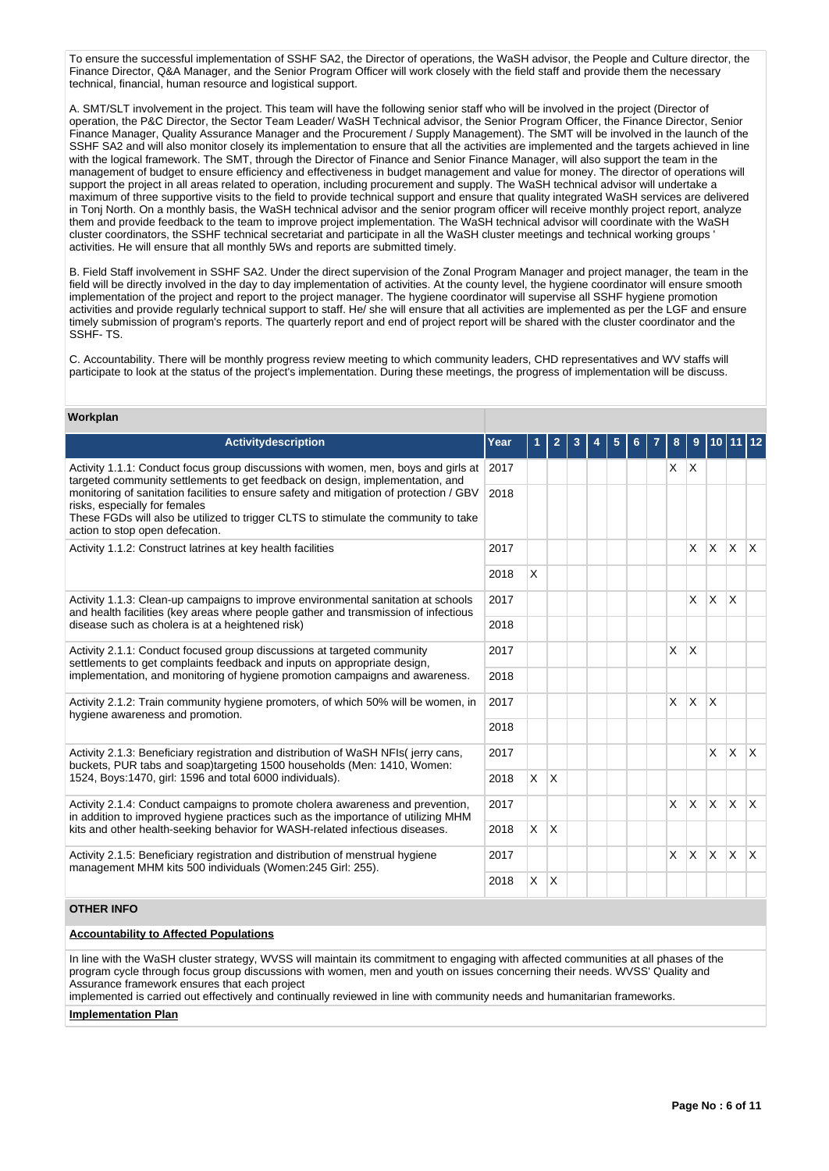To ensure the successful implementation of SSHF SA2, the Director of operations, the WaSH advisor, the People and Culture director, the Finance Director, Q&A Manager, and the Senior Program Officer will work closely with the field staff and provide them the necessary technical, financial, human resource and logistical support.

A. SMT/SLT involvement in the project. This team will have the following senior staff who will be involved in the project (Director of operation, the P&C Director, the Sector Team Leader/ WaSH Technical advisor, the Senior Program Officer, the Finance Director, Senior Finance Manager, Quality Assurance Manager and the Procurement / Supply Management). The SMT will be involved in the launch of the SSHF SA2 and will also monitor closely its implementation to ensure that all the activities are implemented and the targets achieved in line with the logical framework. The SMT, through the Director of Finance and Senior Finance Manager, will also support the team in the management of budget to ensure efficiency and effectiveness in budget management and value for money. The director of operations will support the project in all areas related to operation, including procurement and supply. The WaSH technical advisor will undertake a maximum of three supportive visits to the field to provide technical support and ensure that quality integrated WaSH services are delivered in Tonj North. On a monthly basis, the WaSH technical advisor and the senior program officer will receive monthly project report, analyze them and provide feedback to the team to improve project implementation. The WaSH technical advisor will coordinate with the WaSH cluster coordinators, the SSHF technical secretariat and participate in all the WaSH cluster meetings and technical working groups ' activities. He will ensure that all monthly 5Ws and reports are submitted timely.

B. Field Staff involvement in SSHF SA2. Under the direct supervision of the Zonal Program Manager and project manager, the team in the field will be directly involved in the day to day implementation of activities. At the county level, the hygiene coordinator will ensure smooth implementation of the project and report to the project manager. The hygiene coordinator will supervise all SSHF hygiene promotion activities and provide regularly technical support to staff. He/ she will ensure that all activities are implemented as per the LGF and ensure timely submission of program's reports. The quarterly report and end of project report will be shared with the cluster coordinator and the SSHF- TS.

C. Accountability. There will be monthly progress review meeting to which community leaders, CHD representatives and WV staffs will participate to look at the status of the project's implementation. During these meetings, the progress of implementation will be discuss.

### **Workplan**

| <b>Activitydescription</b>                                                                                                                                                                                                                         | Year | 1              | $\mathbf{2}$ | 3 | 5 |  | 8        | 9            | 10           |              |              |
|----------------------------------------------------------------------------------------------------------------------------------------------------------------------------------------------------------------------------------------------------|------|----------------|--------------|---|---|--|----------|--------------|--------------|--------------|--------------|
| Activity 1.1.1: Conduct focus group discussions with women, men, boys and girls at<br>2017<br>targeted community settlements to get feedback on design, implementation, and                                                                        |      |                |              |   |   |  | X.       | $\mathsf{X}$ |              |              |              |
| monitoring of sanitation facilities to ensure safety and mitigation of protection / GBV<br>risks, especially for females<br>These FGDs will also be utilized to trigger CLTS to stimulate the community to take<br>action to stop open defecation. | 2018 |                |              |   |   |  |          |              |              |              |              |
| Activity 1.1.2: Construct latrines at key health facilities                                                                                                                                                                                        |      |                |              |   |   |  |          | $\times$     | $\mathsf{X}$ | $x \mid x$   |              |
|                                                                                                                                                                                                                                                    |      | X              |              |   |   |  |          |              |              |              |              |
| Activity 1.1.3: Clean-up campaigns to improve environmental sanitation at schools<br>and health facilities (key areas where people gather and transmission of infectious                                                                           | 2017 |                |              |   |   |  |          | $\times$     | X            | X            |              |
| disease such as cholera is at a heightened risk)                                                                                                                                                                                                   |      |                |              |   |   |  |          |              |              |              |              |
| Activity 2.1.1: Conduct focused group discussions at targeted community<br>settlements to get complaints feedback and inputs on appropriate design,                                                                                                |      |                |              |   |   |  | X        | X            |              |              |              |
| implementation, and monitoring of hygiene promotion campaigns and awareness.                                                                                                                                                                       | 2018 |                |              |   |   |  |          |              |              |              |              |
| Activity 2.1.2: Train community hygiene promoters, of which 50% will be women, in<br>hygiene awareness and promotion.                                                                                                                              | 2017 |                |              |   |   |  | $\times$ | X.           | X            |              |              |
|                                                                                                                                                                                                                                                    | 2018 |                |              |   |   |  |          |              |              |              |              |
| Activity 2.1.3: Beneficiary registration and distribution of WaSH NFIs(jerry cans,<br>buckets, PUR tabs and soap)targeting 1500 households (Men: 1410, Women:                                                                                      | 2017 |                |              |   |   |  |          |              | $\mathsf{x}$ | <b>X</b>     | $\mathsf{X}$ |
| 1524, Boys:1470, girl: 1596 and total 6000 individuals).                                                                                                                                                                                           | 2018 | $\mathsf{X}^-$ | ΙX.          |   |   |  |          |              |              |              |              |
| Activity 2.1.4: Conduct campaigns to promote cholera awareness and prevention,<br>in addition to improved hygiene practices such as the importance of utilizing MHM                                                                                | 2017 |                |              |   |   |  | $\times$ | $\mathsf{X}$ | <b>x</b>     | $\mathsf{X}$ | $\mathsf{X}$ |
| kits and other health-seeking behavior for WASH-related infectious diseases.                                                                                                                                                                       |      | $\times$       | <sup>X</sup> |   |   |  |          |              |              |              |              |
| Activity 2.1.5: Beneficiary registration and distribution of menstrual hygiene<br>2017<br>management MHM kits 500 individuals (Women: 245 Girl: 255).<br>2018                                                                                      |      |                |              |   |   |  | X        | <b>X</b>     | Ιx.          | $\mathsf{X}$ | $\mathsf{X}$ |
|                                                                                                                                                                                                                                                    |      | X.             | ΙX.          |   |   |  |          |              |              |              |              |
| <b>OTHER INFO</b>                                                                                                                                                                                                                                  |      |                |              |   |   |  |          |              |              |              |              |

### **Accountability to Affected Populations**

In line with the WaSH cluster strategy, WVSS will maintain its commitment to engaging with affected communities at all phases of the program cycle through focus group discussions with women, men and youth on issues concerning their needs. WVSS' Quality and Assurance framework ensures that each project

implemented is carried out effectively and continually reviewed in line with community needs and humanitarian frameworks.

### **Implementation Plan**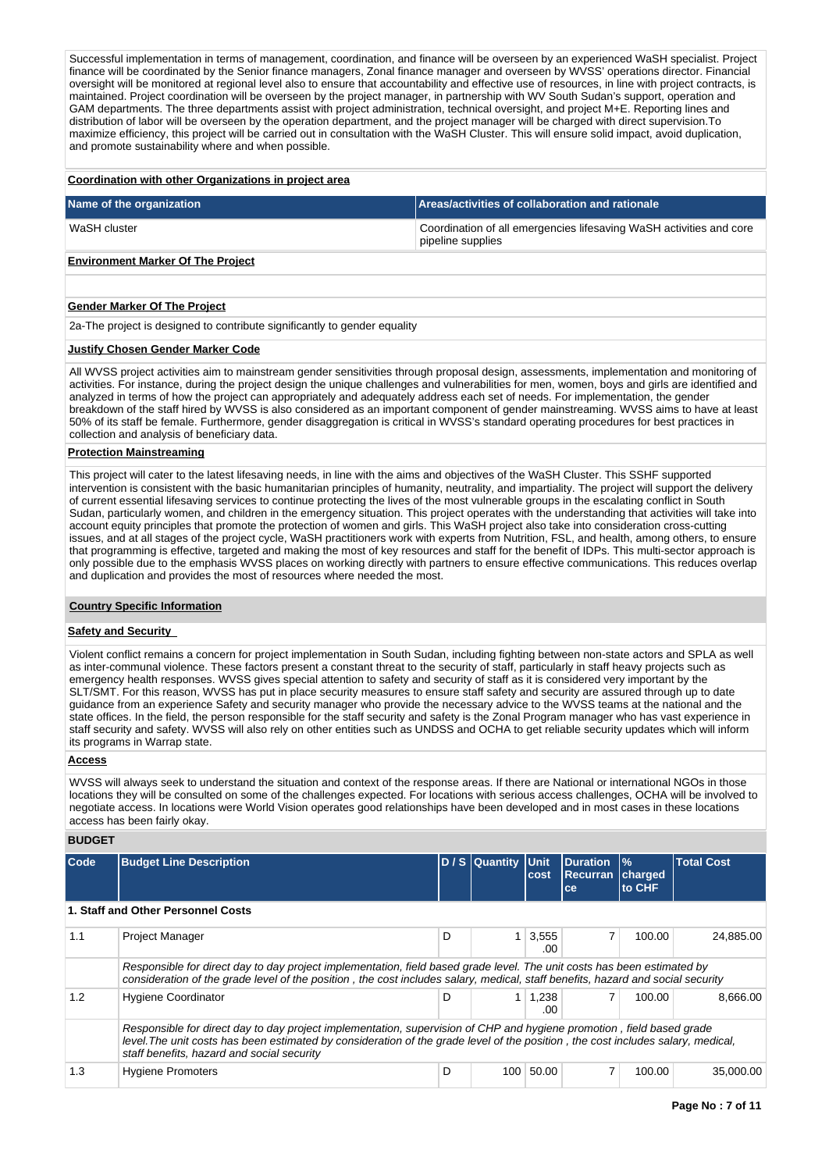Successful implementation in terms of management, coordination, and finance will be overseen by an experienced WaSH specialist. Project finance will be coordinated by the Senior finance managers, Zonal finance manager and overseen by WVSS' operations director. Financial oversight will be monitored at regional level also to ensure that accountability and effective use of resources, in line with project contracts, is maintained. Project coordination will be overseen by the project manager, in partnership with WV South Sudan's support, operation and GAM departments. The three departments assist with project administration, technical oversight, and project M+E. Reporting lines and distribution of labor will be overseen by the operation department, and the project manager will be charged with direct supervision.To maximize efficiency, this project will be carried out in consultation with the WaSH Cluster. This will ensure solid impact, avoid duplication, and promote sustainability where and when possible.

#### **Coordination with other Organizations in project area**

| Name of the organization | Areas/activities of collaboration and rationale                                          |
|--------------------------|------------------------------------------------------------------------------------------|
| WaSH cluster             | Coordination of all emergencies lifesaving WaSH activities and core<br>pipeline supplies |
|                          |                                                                                          |

## **Environment Marker Of The Project**

### **Gender Marker Of The Project**

2a-The project is designed to contribute significantly to gender equality

### **Justify Chosen Gender Marker Code**

All WVSS project activities aim to mainstream gender sensitivities through proposal design, assessments, implementation and monitoring of activities. For instance, during the project design the unique challenges and vulnerabilities for men, women, boys and girls are identified and analyzed in terms of how the project can appropriately and adequately address each set of needs. For implementation, the gender breakdown of the staff hired by WVSS is also considered as an important component of gender mainstreaming. WVSS aims to have at least 50% of its staff be female. Furthermore, gender disaggregation is critical in WVSS's standard operating procedures for best practices in collection and analysis of beneficiary data.

### **Protection Mainstreaming**

This project will cater to the latest lifesaving needs, in line with the aims and objectives of the WaSH Cluster. This SSHF supported intervention is consistent with the basic humanitarian principles of humanity, neutrality, and impartiality. The project will support the delivery of current essential lifesaving services to continue protecting the lives of the most vulnerable groups in the escalating conflict in South Sudan, particularly women, and children in the emergency situation. This project operates with the understanding that activities will take into account equity principles that promote the protection of women and girls. This WaSH project also take into consideration cross-cutting issues, and at all stages of the project cycle, WaSH practitioners work with experts from Nutrition, FSL, and health, among others, to ensure that programming is effective, targeted and making the most of key resources and staff for the benefit of IDPs. This multi-sector approach is only possible due to the emphasis WVSS places on working directly with partners to ensure effective communications. This reduces overlap and duplication and provides the most of resources where needed the most.

### **Country Specific Information**

### **Safety and Security**

Violent conflict remains a concern for project implementation in South Sudan, including fighting between non-state actors and SPLA as well as inter-communal violence. These factors present a constant threat to the security of staff, particularly in staff heavy projects such as emergency health responses. WVSS gives special attention to safety and security of staff as it is considered very important by the SLT/SMT. For this reason, WVSS has put in place security measures to ensure staff safety and security are assured through up to date guidance from an experience Safety and security manager who provide the necessary advice to the WVSS teams at the national and the state offices. In the field, the person responsible for the staff security and safety is the Zonal Program manager who has vast experience in staff security and safety. WVSS will also rely on other entities such as UNDSS and OCHA to get reliable security updates which will inform its programs in Warrap state.

### **Access**

WVSS will always seek to understand the situation and context of the response areas. If there are National or international NGOs in those locations they will be consulted on some of the challenges expected. For locations with serious access challenges, OCHA will be involved to negotiate access. In locations were World Vision operates good relationships have been developed and in most cases in these locations access has been fairly okay.

### **BUDGET**

| Code | <b>Budget Line Description</b>                                                                                                                                                                                                                             |                                                                                                                                                                                                                                                           | D / S Quantity Unit | cost         | <b>IDuration</b><br><b>Recurran</b><br>ce | $\frac{9}{6}$<br>charged<br>to CHF | <b>Total Cost</b> |  |  |
|------|------------------------------------------------------------------------------------------------------------------------------------------------------------------------------------------------------------------------------------------------------------|-----------------------------------------------------------------------------------------------------------------------------------------------------------------------------------------------------------------------------------------------------------|---------------------|--------------|-------------------------------------------|------------------------------------|-------------------|--|--|
|      | 1. Staff and Other Personnel Costs                                                                                                                                                                                                                         |                                                                                                                                                                                                                                                           |                     |              |                                           |                                    |                   |  |  |
| 1.1  | <b>Project Manager</b>                                                                                                                                                                                                                                     | D                                                                                                                                                                                                                                                         |                     | 3,555<br>.00 | $\overline{7}$                            | 100.00                             | 24,885.00         |  |  |
|      | Responsible for direct day to day project implementation, field based grade level. The unit costs has been estimated by<br>consideration of the grade level of the position, the cost includes salary, medical, staff benefits, hazard and social security |                                                                                                                                                                                                                                                           |                     |              |                                           |                                    |                   |  |  |
| 1.2  | <b>Hygiene Coordinator</b>                                                                                                                                                                                                                                 | D                                                                                                                                                                                                                                                         |                     | 1,238<br>.00 |                                           | 100.00                             | 8.666.00          |  |  |
|      | staff benefits, hazard and social security                                                                                                                                                                                                                 | Responsible for direct day to day project implementation, supervision of CHP and hygiene promotion, field based grade<br>level. The unit costs has been estimated by consideration of the grade level of the position, the cost includes salary, medical, |                     |              |                                           |                                    |                   |  |  |
| 1.3  | <b>Hygiene Promoters</b>                                                                                                                                                                                                                                   | D                                                                                                                                                                                                                                                         | 100                 | 50.00        |                                           | 100.00                             | 35,000,00         |  |  |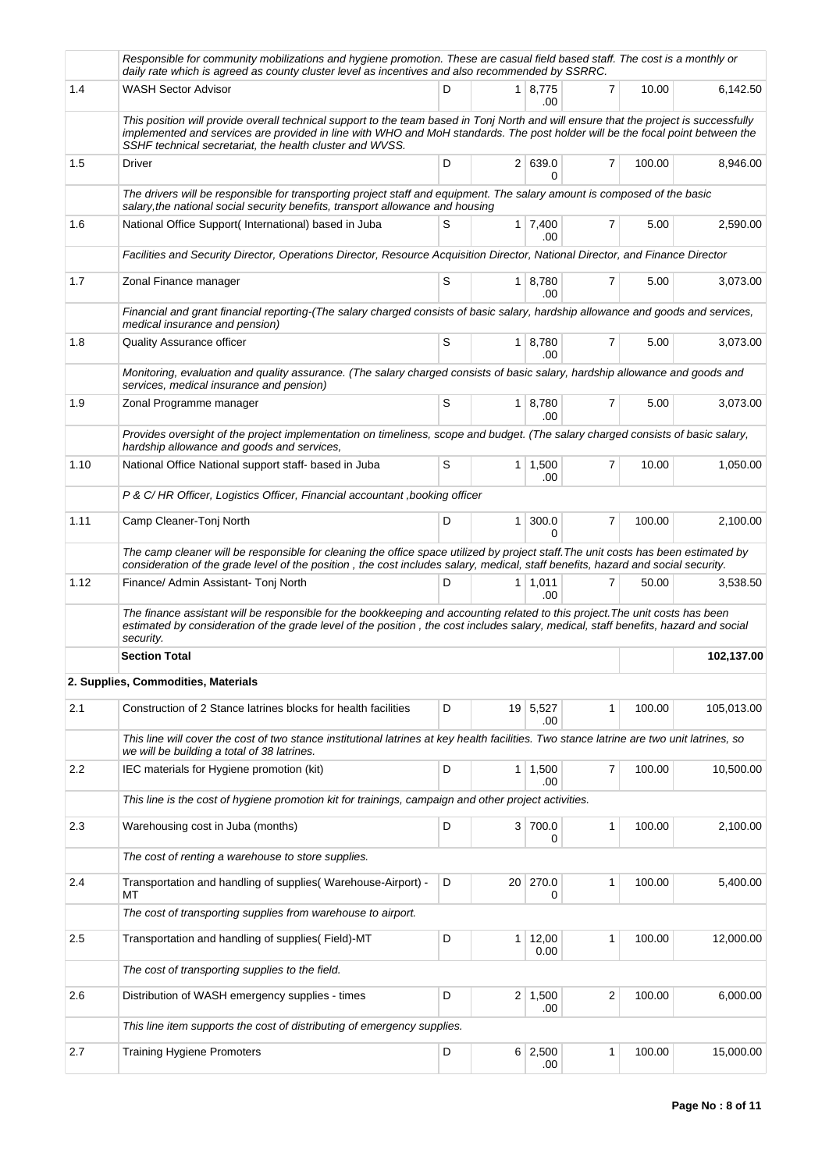|         | Responsible for community mobilizations and hygiene promotion. These are casual field based staff. The cost is a monthly or<br>daily rate which is agreed as county cluster level as incentives and also recommended by SSRRC.                                                                                                     |   |                |                       |                |        |            |
|---------|------------------------------------------------------------------------------------------------------------------------------------------------------------------------------------------------------------------------------------------------------------------------------------------------------------------------------------|---|----------------|-----------------------|----------------|--------|------------|
| 1.4     | <b>WASH Sector Advisor</b>                                                                                                                                                                                                                                                                                                         | D |                | 1 8.775<br>.00        | 7              | 10.00  | 6,142.50   |
|         | This position will provide overall technical support to the team based in Tonj North and will ensure that the project is successfully<br>implemented and services are provided in line with WHO and MoH standards. The post holder will be the focal point between the<br>SSHF technical secretariat, the health cluster and WVSS. |   |                |                       |                |        |            |
| 1.5     | Driver                                                                                                                                                                                                                                                                                                                             | D |                | 2 639.0<br>0          | 7              | 100.00 | 8,946.00   |
|         | The drivers will be responsible for transporting project staff and equipment. The salary amount is composed of the basic<br>salary, the national social security benefits, transport allowance and housing                                                                                                                         |   |                |                       |                |        |            |
| 1.6     | National Office Support(International) based in Juba                                                                                                                                                                                                                                                                               | S |                | $1 \mid 7,400$<br>.00 | 7              | 5.00   | 2,590.00   |
|         | Facilities and Security Director, Operations Director, Resource Acquisition Director, National Director, and Finance Director                                                                                                                                                                                                      |   |                |                       |                |        |            |
| 1.7     | Zonal Finance manager                                                                                                                                                                                                                                                                                                              | S |                | 1 8,780<br>.00        | 7              | 5.00   | 3,073.00   |
|         | Financial and grant financial reporting-(The salary charged consists of basic salary, hardship allowance and goods and services,<br>medical insurance and pension)                                                                                                                                                                 |   |                |                       |                |        |            |
| 1.8     | <b>Quality Assurance officer</b>                                                                                                                                                                                                                                                                                                   | S |                | 1   8,780<br>.00      | 7              | 5.00   | 3,073.00   |
|         | Monitoring, evaluation and quality assurance. (The salary charged consists of basic salary, hardship allowance and goods and<br>services, medical insurance and pension)                                                                                                                                                           |   |                |                       |                |        |            |
| 1.9     | Zonal Programme manager                                                                                                                                                                                                                                                                                                            | S |                | $1 \mid 8,780$<br>.00 | $\overline{7}$ | 5.00   | 3,073.00   |
|         | Provides oversight of the project implementation on timeliness, scope and budget. (The salary charged consists of basic salary,<br>hardship allowance and goods and services,                                                                                                                                                      |   |                |                       |                |        |            |
| 1.10    | National Office National support staff- based in Juba                                                                                                                                                                                                                                                                              | S |                | $1 \mid 1,500$<br>.00 | 7              | 10.00  | 1,050.00   |
|         | P & C/HR Officer, Logistics Officer, Financial accountant, booking officer                                                                                                                                                                                                                                                         |   |                |                       |                |        |            |
| 1.11    | Camp Cleaner-Tonj North                                                                                                                                                                                                                                                                                                            | D | 1 <sup>1</sup> | 300.0<br>0            | $\overline{7}$ | 100.00 | 2,100.00   |
|         | The camp cleaner will be responsible for cleaning the office space utilized by project staff. The unit costs has been estimated by<br>consideration of the grade level of the position, the cost includes salary, medical, staff benefits, hazard and social security.                                                             |   |                |                       |                |        |            |
| 1.12    | Finance/ Admin Assistant- Tonj North                                                                                                                                                                                                                                                                                               | D |                | 1   1,011<br>.00.     | 7              | 50.00  | 3,538.50   |
|         | The finance assistant will be responsible for the bookkeeping and accounting related to this project. The unit costs has been<br>estimated by consideration of the grade level of the position, the cost includes salary, medical, staff benefits, hazard and social<br>security.                                                  |   |                |                       |                |        |            |
|         | <b>Section Total</b>                                                                                                                                                                                                                                                                                                               |   |                |                       |                |        | 102,137.00 |
|         | 2. Supplies, Commodities, Materials                                                                                                                                                                                                                                                                                                |   |                |                       |                |        |            |
| 2.1     | Construction of 2 Stance latrines blocks for health facilities                                                                                                                                                                                                                                                                     | D |                | 19 5,527<br>.00       | 1              | 100.00 | 105,013.00 |
|         | This line will cover the cost of two stance institutional latrines at key health facilities. Two stance latrine are two unit latrines, so<br>we will be building a total of 38 latrines.                                                                                                                                           |   |                |                       |                |        |            |
| $2.2\,$ | IEC materials for Hygiene promotion (kit)                                                                                                                                                                                                                                                                                          | D | 1 <sup>1</sup> | 1,500<br>.00          | 7              | 100.00 | 10.500.00  |
|         | This line is the cost of hygiene promotion kit for trainings, campaign and other project activities.                                                                                                                                                                                                                               |   |                |                       |                |        |            |
| 2.3     | Warehousing cost in Juba (months)                                                                                                                                                                                                                                                                                                  | D |                | 3 700.0<br>0          | 1              | 100.00 | 2,100.00   |
|         | The cost of renting a warehouse to store supplies.                                                                                                                                                                                                                                                                                 |   |                |                       |                |        |            |
| 2.4     | Transportation and handling of supplies (Warehouse-Airport) -<br>MT                                                                                                                                                                                                                                                                | D |                | 20 270.0<br>0         | 1              | 100.00 | 5,400.00   |
|         | The cost of transporting supplies from warehouse to airport.                                                                                                                                                                                                                                                                       |   |                |                       |                |        |            |
| 2.5     | Transportation and handling of supplies(Field)-MT                                                                                                                                                                                                                                                                                  | D | 1 <sup>1</sup> | 12,00<br>0.00         | 1              | 100.00 | 12,000.00  |
|         | The cost of transporting supplies to the field.                                                                                                                                                                                                                                                                                    |   |                |                       |                |        |            |
| 2.6     | Distribution of WASH emergency supplies - times                                                                                                                                                                                                                                                                                    | D | 2 <sup>2</sup> | 1,500<br>.00          | $\overline{c}$ | 100.00 | 6,000.00   |
|         | This line item supports the cost of distributing of emergency supplies.                                                                                                                                                                                                                                                            |   |                |                       |                |        |            |
| 2.7     | <b>Training Hygiene Promoters</b>                                                                                                                                                                                                                                                                                                  | D |                | $6 \mid 2,500$<br>.00 | 1              | 100.00 | 15,000.00  |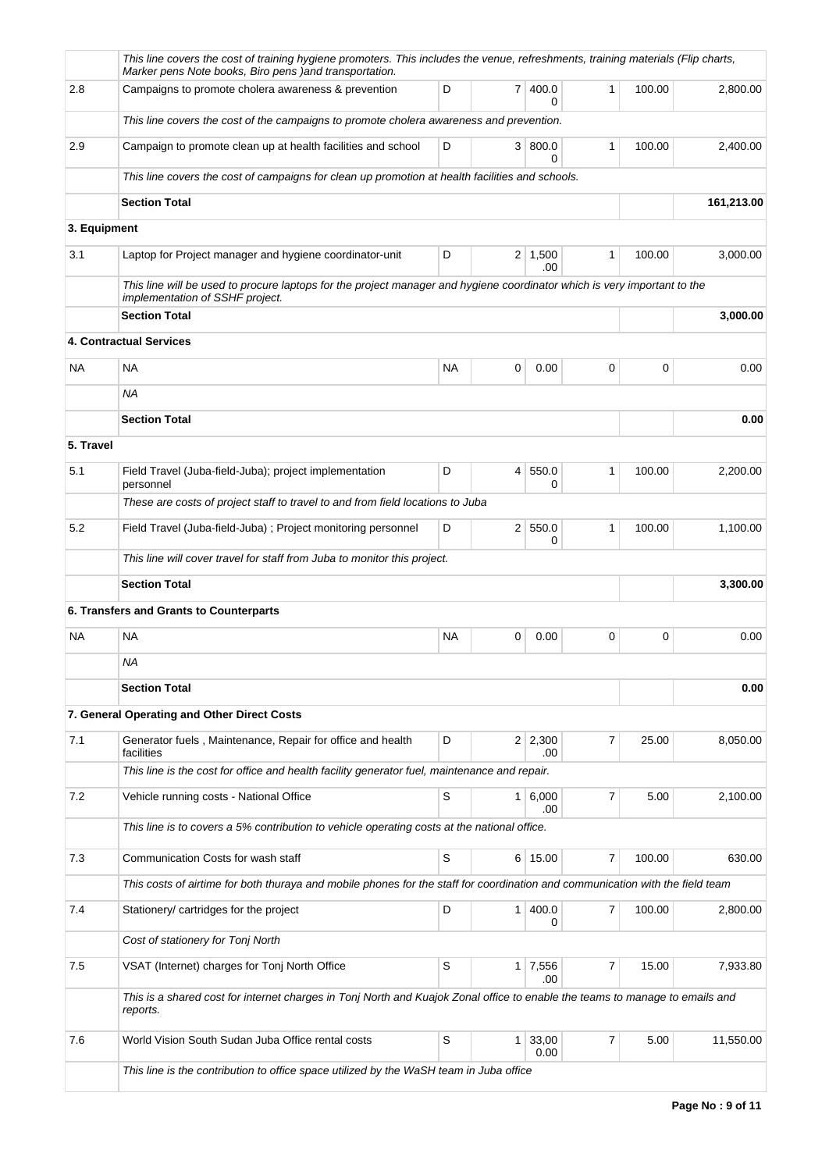|              | This line covers the cost of training hygiene promoters. This includes the venue, refreshments, training materials (Flip charts,<br>Marker pens Note books, Biro pens ) and transportation. |             |                 |                       |                |        |            |
|--------------|---------------------------------------------------------------------------------------------------------------------------------------------------------------------------------------------|-------------|-----------------|-----------------------|----------------|--------|------------|
| 2.8          | Campaigns to promote cholera awareness & prevention                                                                                                                                         | D           |                 | 7 400.0<br>$\Omega$   | $\mathbf{1}$   | 100.00 | 2,800.00   |
|              | This line covers the cost of the campaigns to promote cholera awareness and prevention.                                                                                                     |             |                 |                       |                |        |            |
| 2.9          | Campaign to promote clean up at health facilities and school                                                                                                                                | D           |                 | 3   800.0<br>0        | 1              | 100.00 | 2,400.00   |
|              | This line covers the cost of campaigns for clean up promotion at health facilities and schools.                                                                                             |             |                 |                       |                |        |            |
|              | <b>Section Total</b>                                                                                                                                                                        |             |                 |                       |                |        | 161,213.00 |
| 3. Equipment |                                                                                                                                                                                             |             |                 |                       |                |        |            |
| 3.1          | Laptop for Project manager and hygiene coordinator-unit                                                                                                                                     | D           |                 | $2 \mid 1,500$<br>.00 | 1              | 100.00 | 3,000.00   |
|              | This line will be used to procure laptops for the project manager and hygiene coordinator which is very important to the<br>implementation of SSHF project.                                 |             |                 |                       |                |        |            |
|              | <b>Section Total</b>                                                                                                                                                                        |             |                 |                       |                |        | 3,000.00   |
|              | 4. Contractual Services                                                                                                                                                                     |             |                 |                       |                |        |            |
| <b>NA</b>    | <b>NA</b>                                                                                                                                                                                   | <b>NA</b>   | 0               | 0.00                  | 0              | 0      | 0.00       |
|              | ΝA                                                                                                                                                                                          |             |                 |                       |                |        |            |
|              | <b>Section Total</b>                                                                                                                                                                        |             |                 |                       |                |        | 0.00       |
| 5. Travel    |                                                                                                                                                                                             |             |                 |                       |                |        |            |
| 5.1          | Field Travel (Juba-field-Juba); project implementation<br>personnel                                                                                                                         | D           | $\vert 4 \vert$ | 550.0<br>0            | 1              | 100.00 | 2,200.00   |
|              | These are costs of project staff to travel to and from field locations to Juba                                                                                                              |             |                 |                       |                |        |            |
| 5.2          | Field Travel (Juba-field-Juba) ; Project monitoring personnel                                                                                                                               | D           |                 | 2 550.0<br>0          | 1              | 100.00 | 1,100.00   |
|              | This line will cover travel for staff from Juba to monitor this project.                                                                                                                    |             |                 |                       |                |        |            |
|              | <b>Section Total</b>                                                                                                                                                                        |             |                 |                       |                |        | 3,300.00   |
|              | 6. Transfers and Grants to Counterparts                                                                                                                                                     |             |                 |                       |                |        |            |
| <b>NA</b>    | <b>NA</b>                                                                                                                                                                                   | <b>NA</b>   | 0               | 0.00                  | 0              | 0      | 0.00       |
|              | ΝA                                                                                                                                                                                          |             |                 |                       |                |        |            |
|              | <b>Section Total</b>                                                                                                                                                                        |             |                 |                       |                |        | 0.00       |
|              | 7. General Operating and Other Direct Costs                                                                                                                                                 |             |                 |                       |                |        |            |
| 7.1          | Generator fuels, Maintenance, Repair for office and health<br>facilities                                                                                                                    | D           |                 | $2 \mid 2,300$<br>.00 | 7              | 25.00  | 8,050.00   |
|              | This line is the cost for office and health facility generator fuel, maintenance and repair.                                                                                                |             |                 |                       |                |        |            |
| 7.2          | Vehicle running costs - National Office                                                                                                                                                     | $\mathbb S$ |                 | $1 \ 6,000$<br>.00    | 7              | 5.00   | 2,100.00   |
|              | This line is to covers a 5% contribution to vehicle operating costs at the national office.                                                                                                 |             |                 |                       |                |        |            |
| 7.3          | Communication Costs for wash staff                                                                                                                                                          | S           |                 | 6 15.00               | 7              | 100.00 | 630.00     |
|              | This costs of airtime for both thuraya and mobile phones for the staff for coordination and communication with the field team                                                               |             |                 |                       |                |        |            |
| 7.4          | Stationery/ cartridges for the project                                                                                                                                                      | D           |                 | 1   400.0<br>0        | 7              | 100.00 | 2,800.00   |
|              | Cost of stationery for Tonj North                                                                                                                                                           |             |                 |                       |                |        |            |
| 7.5          | VSAT (Internet) charges for Tonj North Office                                                                                                                                               | S           |                 | 1 7,556<br>.00        | $\overline{7}$ | 15.00  | 7,933.80   |
|              | This is a shared cost for internet charges in Tonj North and Kuajok Zonal office to enable the teams to manage to emails and<br>reports.                                                    |             |                 |                       |                |        |            |
| 7.6          | World Vision South Sudan Juba Office rental costs                                                                                                                                           | S           | $\mathbf{1}$    | 33,00                 | 7              | 5.00   | 11,550.00  |
|              | This line is the contribution to office space utilized by the WaSH team in Juba office                                                                                                      |             |                 | 0.00                  |                |        |            |
|              |                                                                                                                                                                                             |             |                 |                       |                |        |            |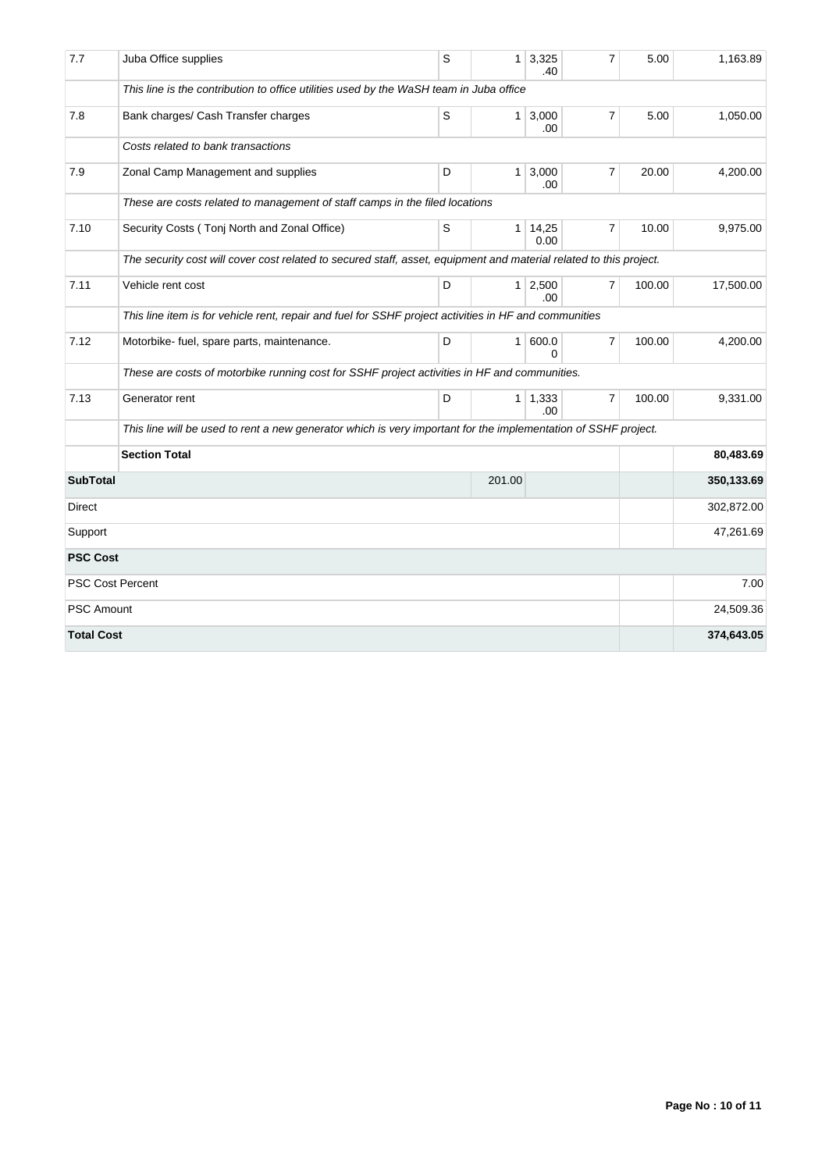| 7.7               | Juba Office supplies                                                                                               | S | 1              | 3,325<br>.40  | $\overline{7}$ | 5.00   | 1,163.89   |  |  |  |  |
|-------------------|--------------------------------------------------------------------------------------------------------------------|---|----------------|---------------|----------------|--------|------------|--|--|--|--|
|                   | This line is the contribution to office utilities used by the WaSH team in Juba office                             |   |                |               |                |        |            |  |  |  |  |
| 7.8               | Bank charges/ Cash Transfer charges                                                                                | S | $\mathbf{1}$   | 3,000<br>.00  | 7              | 5.00   | 1,050.00   |  |  |  |  |
|                   | Costs related to bank transactions                                                                                 |   |                |               |                |        |            |  |  |  |  |
| 7.9               | Zonal Camp Management and supplies                                                                                 | D | $\mathbf{1}$   | 3,000<br>.00  | $\overline{7}$ | 20.00  | 4,200.00   |  |  |  |  |
|                   | These are costs related to management of staff camps in the filed locations                                        |   |                |               |                |        |            |  |  |  |  |
| 7.10              | Security Costs (Tonj North and Zonal Office)                                                                       | S | $\mathbf{1}$   | 14,25<br>0.00 | $\overline{7}$ | 10.00  | 9,975.00   |  |  |  |  |
|                   | The security cost will cover cost related to secured staff, asset, equipment and material related to this project. |   |                |               |                |        |            |  |  |  |  |
| 7.11              | Vehicle rent cost                                                                                                  | D | 1 <sup>1</sup> | 2,500<br>.00  | $\overline{7}$ | 100.00 | 17,500.00  |  |  |  |  |
|                   | This line item is for vehicle rent, repair and fuel for SSHF project activities in HF and communities              |   |                |               |                |        |            |  |  |  |  |
| 7.12              | Motorbike- fuel, spare parts, maintenance.                                                                         | D | $\mathbf{1}$   | 600.0<br>0    | $\overline{7}$ | 100.00 | 4,200.00   |  |  |  |  |
|                   | These are costs of motorbike running cost for SSHF project activities in HF and communities.                       |   |                |               |                |        |            |  |  |  |  |
| 7.13              | Generator rent                                                                                                     | D | 1 <sup>1</sup> | 1,333<br>.00  | $\overline{7}$ | 100.00 | 9,331.00   |  |  |  |  |
|                   | This line will be used to rent a new generator which is very important for the implementation of SSHF project.     |   |                |               |                |        |            |  |  |  |  |
|                   | <b>Section Total</b>                                                                                               |   |                | 80,483.69     |                |        |            |  |  |  |  |
| <b>SubTotal</b>   |                                                                                                                    |   | 201.00         |               |                |        | 350,133.69 |  |  |  |  |
| Direct            |                                                                                                                    |   |                |               |                |        | 302,872.00 |  |  |  |  |
| Support           |                                                                                                                    |   |                |               |                |        | 47,261.69  |  |  |  |  |
| <b>PSC Cost</b>   |                                                                                                                    |   |                |               |                |        |            |  |  |  |  |
|                   | <b>PSC Cost Percent</b>                                                                                            |   |                |               |                |        | 7.00       |  |  |  |  |
| <b>PSC Amount</b> |                                                                                                                    |   |                |               |                |        | 24,509.36  |  |  |  |  |
| <b>Total Cost</b> |                                                                                                                    |   |                |               |                |        | 374,643.05 |  |  |  |  |